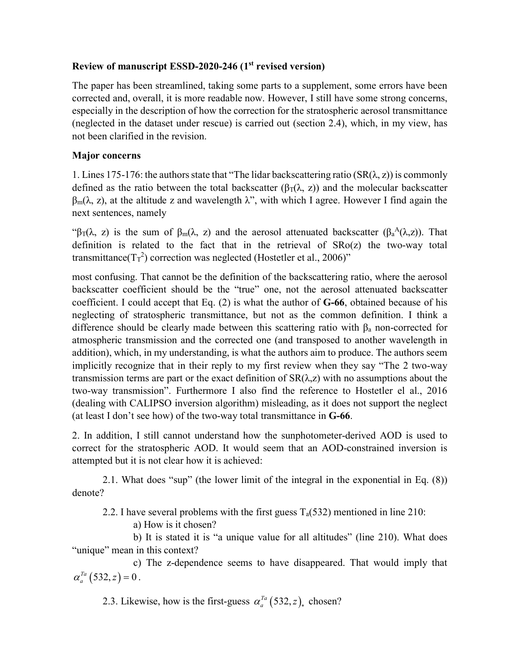## **Review of manuscript ESSD-2020-246 (1st revised version)**

The paper has been streamlined, taking some parts to a supplement, some errors have been corrected and, overall, it is more readable now. However, I still have some strong concerns, especially in the description of how the correction for the stratospheric aerosol transmittance (neglected in the dataset under rescue) is carried out (section 2.4), which, in my view, has not been clarified in the revision.

## **Major concerns**

1. Lines 175-176: the authors state that "The lidar backscattering ratio  $(SR(\lambda, z))$  is commonly defined as the ratio between the total backscatter ( $\beta_T(\lambda, z)$ ) and the molecular backscatter  $\beta_m(\lambda, z)$ , at the altitude z and wavelength  $\lambda$ ", with which I agree. However I find again the next sentences, namely

"β<sub>T</sub>( $\lambda$ , z) is the sum of β<sub>m</sub>( $\lambda$ , z) and the aerosol attenuated backscatter (β<sub>a</sub><sup>A</sup>( $\lambda$ ,z)). That definition is related to the fact that in the retrieval of SRo(z) the two-way total transmittance( $T_T^2$ ) correction was neglected (Hostetler et al., 2006)"

most confusing. That cannot be the definition of the backscattering ratio, where the aerosol backscatter coefficient should be the "true" one, not the aerosol attenuated backscatter coefficient. I could accept that Eq. (2) is what the author of **G-66**, obtained because of his neglecting of stratospheric transmittance, but not as the common definition. I think a difference should be clearly made between this scattering ratio with  $\beta_a$  non-corrected for atmospheric transmission and the corrected one (and transposed to another wavelength in addition), which, in my understanding, is what the authors aim to produce. The authors seem implicitly recognize that in their reply to my first review when they say "The 2 two-way transmission terms are part or the exact definition of  $SR(\lambda, z)$  with no assumptions about the two-way transmission". Furthermore I also find the reference to Hostetler el al., 2016 (dealing with CALIPSO inversion algorithm) misleading, as it does not support the neglect (at least I don't see how) of the two-way total transmittance in **G-66**.

2. In addition, I still cannot understand how the sunphotometer-derived AOD is used to correct for the stratospheric AOD. It would seem that an AOD-constrained inversion is attempted but it is not clear how it is achieved:

2.1. What does "sup" (the lower limit of the integral in the exponential in Eq. (8)) denote?

2.2. I have several problems with the first guess  $T_a(532)$  mentioned in line 210:

a) How is it chosen?

b) It is stated it is "a unique value for all altitudes" (line 210). What does "unique" mean in this context?

c) The z-dependence seems to have disappeared. That would imply that  $\alpha_a^{Ta}\left(532,z\right)=0$  .

2.3. Likewise, how is the first-guess  $\alpha_a^{ra}$  (532, *z*), chosen?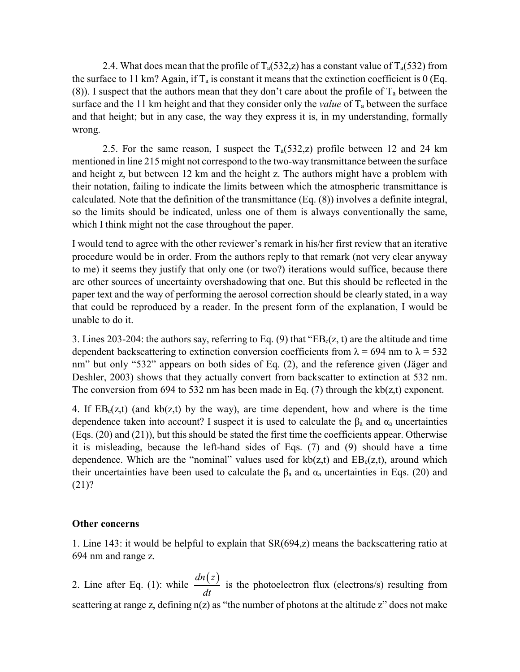2.4. What does mean that the profile of  $T_a(532, z)$  has a constant value of  $T_a(532)$  from the surface to 11 km? Again, if  $T_a$  is constant it means that the extinction coefficient is 0 (Eq. (8)). I suspect that the authors mean that they don't care about the profile of  $T_a$  between the surface and the 11 km height and that they consider only the *value* of  $T_a$  between the surface and that height; but in any case, the way they express it is, in my understanding, formally wrong.

2.5. For the same reason, I suspect the  $T_a(532, z)$  profile between 12 and 24 km mentioned in line 215 might not correspond to the two-way transmittance between the surface and height z, but between 12 km and the height z. The authors might have a problem with their notation, failing to indicate the limits between which the atmospheric transmittance is calculated. Note that the definition of the transmittance (Eq. (8)) involves a definite integral, so the limits should be indicated, unless one of them is always conventionally the same, which I think might not the case throughout the paper.

I would tend to agree with the other reviewer's remark in his/her first review that an iterative procedure would be in order. From the authors reply to that remark (not very clear anyway to me) it seems they justify that only one (or two?) iterations would suffice, because there are other sources of uncertainty overshadowing that one. But this should be reflected in the paper text and the way of performing the aerosol correction should be clearly stated, in a way that could be reproduced by a reader. In the present form of the explanation, I would be unable to do it.

3. Lines 203-204: the authors say, referring to Eq. (9) that " $EB<sub>c</sub>(z, t)$  are the altitude and time dependent backscattering to extinction conversion coefficients from  $\lambda$  = 694 nm to  $\lambda$  = 532 nm" but only "532" appears on both sides of Eq. (2), and the reference given (Jäger and Deshler, 2003) shows that they actually convert from backscatter to extinction at 532 nm. The conversion from 694 to 532 nm has been made in Eq.  $(7)$  through the kb $(z,t)$  exponent.

4. If  $EB<sub>c</sub>(z,t)$  (and  $kb(z,t)$  by the way), are time dependent, how and where is the time dependence taken into account? I suspect it is used to calculate the  $\beta_a$  and  $\alpha_a$  uncertainties (Eqs. (20) and (21)), but this should be stated the first time the coefficients appear. Otherwise it is misleading, because the left-hand sides of Eqs. (7) and (9) should have a time dependence. Which are the "nominal" values used for  $kb(z,t)$  and  $EB<sub>c</sub>(z,t)$ , around which their uncertainties have been used to calculate the  $\beta_a$  and  $\alpha_a$  uncertainties in Eqs. (20) and (21)?

## **Other concerns**

1. Line 143: it would be helpful to explain that SR(694,z) means the backscattering ratio at 694 nm and range z.

2. Line after Eq. (1): while *dn*(*z*)  $\frac{d^{(1)}(t)}{dt}$  is the photoelectron flux (electrons/s) resulting from scattering at range z, defining  $n(z)$  as "the number of photons at the altitude z" does not make